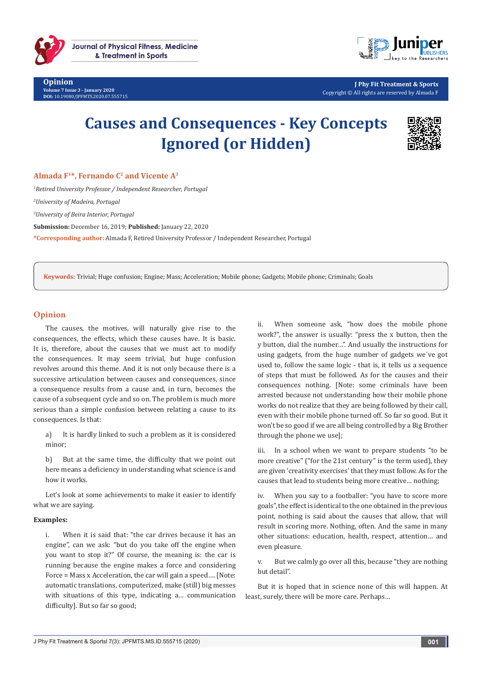

**Opinion Volume 7 Issue 3 - January 2020 DOI:** [10.19080/JPFMTS.2020.07.555715](http://dx.doi.org/10.19080/JPFMTS.2020.07.555715)



**J Phy Fit Treatment & Sports** Copyright © All rights are reserved by Almada F

# **Causes and Consequences - Key Concepts Ignored (or Hidden)**



## Almada F<sup>1\*</sup>, Fernando C<sup>2</sup> and Vicente A<sup>3</sup>

*1 Retired University Professor / Independent Researcher, Portugal 2 University of Madeira, Portugal 3 University of Beira Interior, Portugal* **Submission:** December 16, 2019; **Published:** January 22, 2020 **\*Corresponding author:** Almada F, Retired University Professor / Independent Researcher, Portugal

**Keywords:** Trivial; Huge confusion; Engine; Mass; Acceleration; Mobile phone; Gadgets; Mobile phone; Criminals; Goals

### **Opinion**

The causes, the motives, will naturally give rise to the consequences, the effects, which these causes have. It is basic. It is, therefore, about the causes that we must act to modify the consequences. It may seem trivial, but huge confusion revolves around this theme. And it is not only because there is a successive articulation between causes and consequences, since a consequence results from a cause and, in turn, becomes the cause of a subsequent cycle and so on. The problem is much more serious than a simple confusion between relating a cause to its consequences. Is that:

a) It is hardly linked to such a problem as it is considered minor;

b) But at the same time, the difficulty that we point out here means a deficiency in understanding what science is and how it works.

Let's look at some achievements to make it easier to identify what we are saying.

#### **Examples:**

i. When it is said that: "the car drives because it has an engine", can we ask: "but do you take off the engine when you want to stop it?" Of course, the meaning is: the car is running because the engine makes a force and considering Force = Mass x Acceleration, the car will gain a speed…. [Note: automatic translations, computerized, make (still) big messes with situations of this type, indicating a… communication difficulty]. But so far so good;

ii. When someone ask, "how does the mobile phone work?", the answer is usually: "press the x button, then the y button, dial the number…". And usually the instructions for using gadgets, from the huge number of gadgets we´ve got used to, follow the same logic - that is, it tells us a sequence of steps that must be followed. As for the causes and their consequences nothing. [Note: some criminals have been arrested because not understanding how their mobile phone works do not realize that they are being followed by their call, even with their mobile phone turned off. So far so good. But it won't be so good if we are all being controlled by a Big Brother through the phone we use];

iii. In a school when we want to prepare students "to be more creative" ("for the 21st century" is the term used), they are given 'creativity exercises' that they must follow. As for the causes that lead to students being more creative… nothing;

iv. When you say to a footballer: "you have to score more goals", the effect is identical to the one obtained in the previous point, nothing is said about the causes that allow, that will result in scoring more. Nothing, often. And the same in many other situations: education, health, respect, attention… and even pleasure.

v. But we calmly go over all this, because "they are nothing but detail".

But it is hoped that in science none of this will happen. At least, surely, there will be more care. Perhaps…